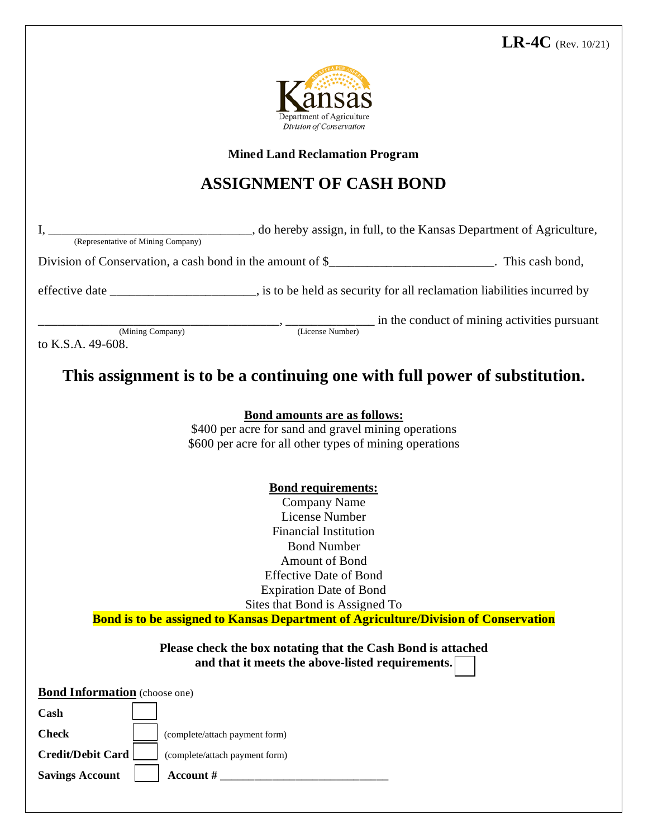

**Mined Land Reclamation Program**

## **ASSIGNMENT OF CASH BOND**

I, \_\_\_\_\_\_\_\_\_\_\_\_\_\_\_\_\_\_\_\_\_\_\_\_\_\_\_\_\_\_\_\_, do hereby assign, in full, to the Kansas Department of Agriculture, (Representative of Mining Company) Division of Conservation, a cash bond in the amount of \$\_\_\_\_\_\_\_\_\_\_\_\_\_\_\_\_\_\_\_\_\_\_\_\_\_. This cash bond, effective date \_\_\_\_\_\_\_\_\_\_\_\_\_\_\_\_\_\_\_\_\_\_\_, is to be held as security for all reclamation liabilitiesincurred by  $\underbrace{\text{(Mining Company)}}$   $\cdots$   $\underbrace{\text{(License Number)}}$  in the conduct of mining activities pursuant to K.S.A. 49-608.

**This assignment is to be a continuing one with full power of substitution.**

| <b>Bond amounts are as follows:</b>                                                                              |
|------------------------------------------------------------------------------------------------------------------|
| \$400 per acre for sand and gravel mining operations                                                             |
| \$600 per acre for all other types of mining operations                                                          |
| <b>Bond requirements:</b>                                                                                        |
| Company Name                                                                                                     |
| License Number                                                                                                   |
| <b>Financial Institution</b>                                                                                     |
| <b>Bond Number</b>                                                                                               |
| <b>Amount of Bond</b>                                                                                            |
| <b>Effective Date of Bond</b>                                                                                    |
| <b>Expiration Date of Bond</b>                                                                                   |
| Sites that Bond is Assigned To                                                                                   |
| <b>Bond is to be assigned to Kansas Department of Agriculture/Division of Conservation</b>                       |
| Please check the box notating that the Cash Bond is attached<br>and that it meets the above-listed requirements. |

**Bond Information** (choose one)

| Cash                   |                                |  |
|------------------------|--------------------------------|--|
| <b>Check</b>           | (complete/attach payment form) |  |
| Credit/Debit Card      | (complete/attach payment form) |  |
| <b>Savings Account</b> | Account #                      |  |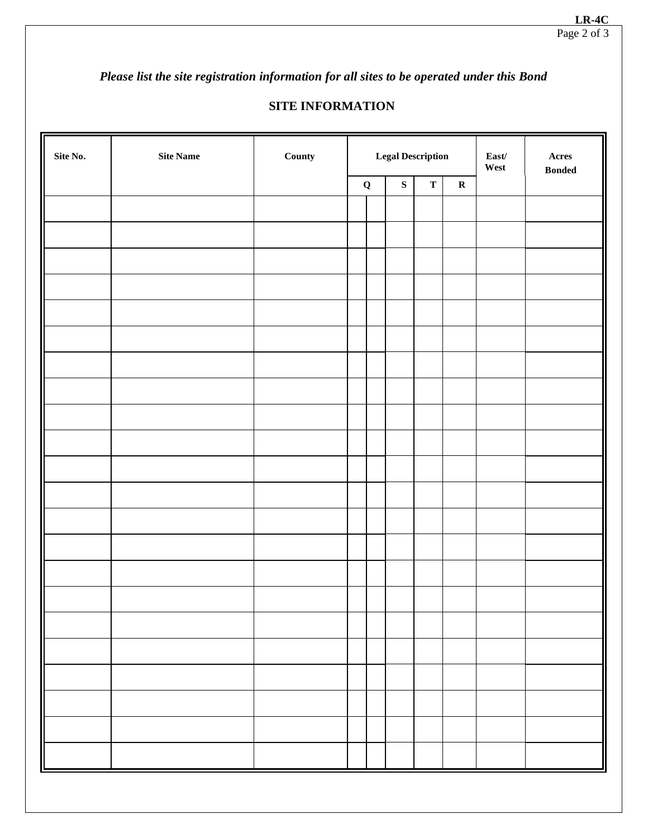*Please list the site registration information for all sites to be operated under this Bond* 

## **SITE INFORMATION**

| Site No. | Site Name | County |             | <b>Legal Description</b> |             |             | $\textbf{East}/$<br>West | $\bold{A} \bold{c} \bold{r} \bold{e} \bold{s}$<br><b>Bonded</b> |
|----------|-----------|--------|-------------|--------------------------|-------------|-------------|--------------------------|-----------------------------------------------------------------|
|          |           |        | $\mathbf Q$ | ${\bf S}$                | $\mathbf T$ | $\mathbf R$ |                          |                                                                 |
|          |           |        |             |                          |             |             |                          |                                                                 |
|          |           |        |             |                          |             |             |                          |                                                                 |
|          |           |        |             |                          |             |             |                          |                                                                 |
|          |           |        |             |                          |             |             |                          |                                                                 |
|          |           |        |             |                          |             |             |                          |                                                                 |
|          |           |        |             |                          |             |             |                          |                                                                 |
|          |           |        |             |                          |             |             |                          |                                                                 |
|          |           |        |             |                          |             |             |                          |                                                                 |
|          |           |        |             |                          |             |             |                          |                                                                 |
|          |           |        |             |                          |             |             |                          |                                                                 |
|          |           |        |             |                          |             |             |                          |                                                                 |
|          |           |        |             |                          |             |             |                          |                                                                 |
|          |           |        |             |                          |             |             |                          |                                                                 |
|          |           |        |             |                          |             |             |                          |                                                                 |
|          |           |        |             |                          |             |             |                          |                                                                 |
|          |           |        |             |                          |             |             |                          |                                                                 |
|          |           |        |             |                          |             |             |                          |                                                                 |
|          |           |        |             |                          |             |             |                          |                                                                 |
|          |           |        |             |                          |             |             |                          |                                                                 |
|          |           |        |             |                          |             |             |                          |                                                                 |
|          |           |        |             |                          |             |             |                          |                                                                 |
|          |           |        |             |                          |             |             |                          |                                                                 |
|          |           |        |             |                          |             |             |                          |                                                                 |
|          |           |        |             |                          |             |             |                          |                                                                 |
|          |           |        |             |                          |             |             |                          |                                                                 |